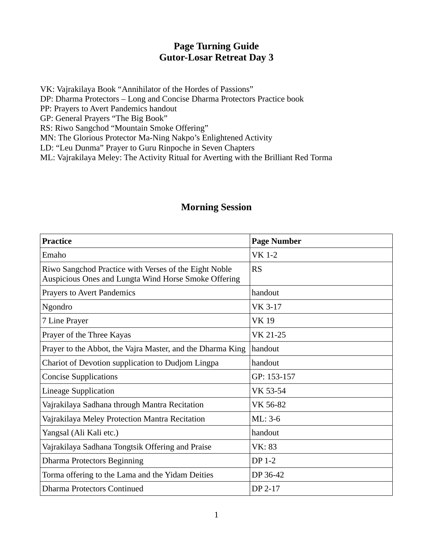## **Page Turning Guide Gutor-Losar Retreat Day 3**

VK: Vajrakilaya Book "Annihilator of the Hordes of Passions" DP: Dharma Protectors – Long and Concise Dharma Protectors Practice book PP: Prayers to Avert Pandemics handout GP: General Prayers "The Big Book" RS: Riwo Sangchod "Mountain Smoke Offering" MN: The Glorious Protector Ma-Ning Nakpo's Enlightened Activity

LD: "Leu Dunma" Prayer to Guru Rinpoche in Seven Chapters

ML: Vajrakilaya Meley: The Activity Ritual for Averting with the Brilliant Red Torma

## **Morning Session**

| <b>Practice</b>                                                                                               | <b>Page Number</b> |
|---------------------------------------------------------------------------------------------------------------|--------------------|
| Emaho                                                                                                         | <b>VK 1-2</b>      |
| Riwo Sangchod Practice with Verses of the Eight Noble<br>Auspicious Ones and Lungta Wind Horse Smoke Offering | <b>RS</b>          |
| <b>Prayers to Avert Pandemics</b>                                                                             | handout            |
| Ngondro                                                                                                       | VK 3-17            |
| 7 Line Prayer                                                                                                 | <b>VK19</b>        |
| Prayer of the Three Kayas                                                                                     | VK 21-25           |
| Prayer to the Abbot, the Vajra Master, and the Dharma King                                                    | handout            |
| Chariot of Devotion supplication to Dudjom Lingpa                                                             | handout            |
| <b>Concise Supplications</b>                                                                                  | GP: 153-157        |
| <b>Lineage Supplication</b>                                                                                   | VK 53-54           |
| Vajrakilaya Sadhana through Mantra Recitation                                                                 | VK 56-82           |
| Vajrakilaya Meley Protection Mantra Recitation                                                                | $ML: 3-6$          |
| Yangsal (Ali Kali etc.)                                                                                       | handout            |
| Vajrakilaya Sadhana Tongtsik Offering and Praise                                                              | VK: 83             |
| <b>Dharma Protectors Beginning</b>                                                                            | DP 1-2             |
| Torma offering to the Lama and the Yidam Deities                                                              | DP 36-42           |
| Dharma Protectors Continued                                                                                   | DP 2-17            |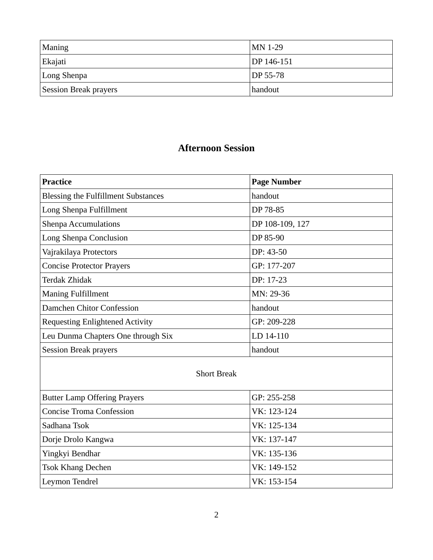| Maning                       | $MN$ 1-29  |
|------------------------------|------------|
| Ekajati                      | DP 146-151 |
| Long Shenpa                  | DP 55-78   |
| <b>Session Break prayers</b> | handout    |

# **Afternoon Session**

| Practice                                   | <b>Page Number</b> |
|--------------------------------------------|--------------------|
| <b>Blessing the Fulfillment Substances</b> | handout            |
| Long Shenpa Fulfillment                    | DP 78-85           |
| <b>Shenpa Accumulations</b>                | DP 108-109, 127    |
| Long Shenpa Conclusion                     | DP 85-90           |
| Vajrakilaya Protectors                     | DP: 43-50          |
| <b>Concise Protector Prayers</b>           | GP: 177-207        |
| Terdak Zhidak                              | DP: 17-23          |
| <b>Maning Fulfillment</b>                  | MN: 29-36          |
| Damchen Chitor Confession                  | handout            |
| <b>Requesting Enlightened Activity</b>     | GP: 209-228        |
| Leu Dunma Chapters One through Six         | LD 14-110          |
| <b>Session Break prayers</b>               | handout            |

#### Short Break

| <b>Butter Lamp Offering Prayers</b> | GP: 255-258 |
|-------------------------------------|-------------|
| <b>Concise Troma Confession</b>     | VK: 123-124 |
| Sadhana Tsok                        | VK: 125-134 |
| Dorje Drolo Kangwa                  | VK: 137-147 |
| Yingkyi Bendhar                     | VK: 135-136 |
| <b>Tsok Khang Dechen</b>            | VK: 149-152 |
| Leymon Tendrel                      | VK: 153-154 |